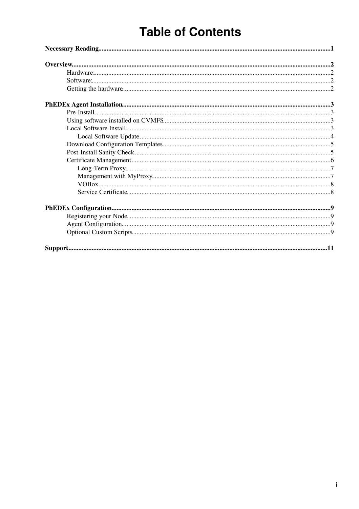# **Table of Contents**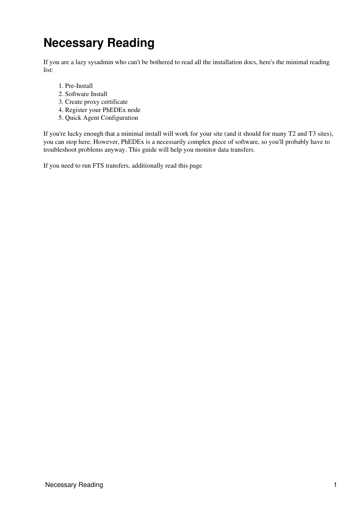# <span id="page-1-0"></span>**Necessary Reading**

If you are a lazy sysadmin who can't be bothered to read all the installation docs, here's the minimal reading list:

- 1. Pre-Install
- 2. Software Install
- 3. Create proxy certificate
- 4. Register your PhEDEx node
- 5. [Quick Agent Configuration](https://twiki.cern.ch/twiki/bin/view/CMS/PhedexAdminDocsAgentConfiguration#QuickConfiguration)

If you're lucky enough that a minimal install will work for your site (and it should for many T2 and T3 sites), you can stop here. However, [PhEDEx](https://twiki.cern.ch/twiki/bin/view/CMSPublic/PhEDEx) is a necessarily complex piece of software, so you'll probably have to troubleshoot problems anyway. [This guide will help you monitor data transfers.](https://twiki.cern.ch/twiki/bin/view/CMS/PhedexUserDocsMonitorData)

If you need to run FTS transfers, [additionally read this page](https://twiki.cern.ch/twiki/bin/view/CMS/PhedexAdminDocsCertsAndMyProxy)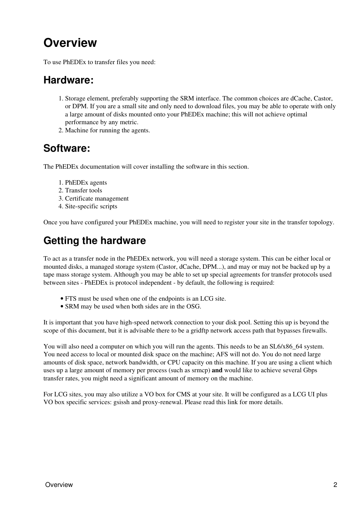# <span id="page-2-0"></span>**Overview**

To use PhEDEx to transfer files you need:

### <span id="page-2-1"></span>**Hardware:**

- 1. Storage element, preferably supporting the SRM interface. The common choices are dCache, Castor, or DPM. If you are a small site and only need to download files, you may be able to operate with only a large amount of disks mounted onto your PhEDEx machine; this will not achieve optimal performance by any metric.
- 2. Machine for running the agents.

### <span id="page-2-2"></span>**Software:**

The PhEDEx documentation will cover installing the software in this section.

- 1. PhEDEx agents
- 2. Transfer tools
- 3. Certificate management
- 4. Site-specific scripts

Once you have configured your PhEDEx machine, you will need to register your site in the transfer topology.

## <span id="page-2-3"></span>**Getting the hardware**

To act as a transfer node in the PhEDEx network, you will need a storage system. This can be either local or mounted disks, a managed storage system (Castor, dCache, DPM...), and may or may not be backed up by a tape mass storage system. Although you may be able to set up special agreements for transfer protocols used between sites - PhEDEx is protocol independent - by default, the following is required:

- FTS must be used when one of the endpoints is an LCG site.
- SRM may be used when both sides are in the OSG.

It is important that you have high-speed network connection to your disk pool. Setting this up is beyond the scope of this document, but it is advisable there to be a gridftp network access path that bypasses firewalls.

You will also need a computer on which you will run the agents. This needs to be an SL6/x86\_64 system. You need access to local or mounted disk space on the machine; AFS will not do. You do not need large amounts of disk space, network bandwidth, or CPU capacity on this machine. If you are using a client which uses up a large amount of memory per process (such as srmcp) **and** would like to achieve several Gbps transfer rates, you might need a significant amount of memory on the machine.

For LCG sites, you may also utilize a VO box for CMS at your site. It will be configured as a LCG UI plus VO box specific services: gsissh and proxy-renewal. [Please read this link for more details.](https://twiki.cern.ch/twiki/bin/view/CMSPublic/PhedexAdminDocsVoBox)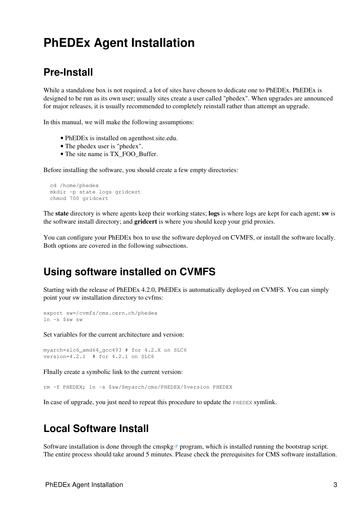## <span id="page-3-0"></span>**PhEDEx Agent Installation**

#### <span id="page-3-1"></span>**Pre-Install**

While a standalone box is not required, a lot of sites have chosen to dedicate one to PhEDEx. PhEDEx is designed to be run as its own user; usually sites create a user called "phedex". When upgrades are announced for major releases, it is usually recommended to completely reinstall rather than attempt an upgrade.

In this manual, we will make the following assumptions:

- PhEDEx is installed on agenthost.site.edu.
- The phedex user is "phedex".
- The site name is TX\_FOO\_Buffer.

Before installing the software, you should create a few empty directories:

```
 cd /home/phedex
 mkdir -p state logs gridcert
 chmod 700 gridcert
```
The **state** directory is where agents keep their working states; **logs** is where logs are kept for each agent; **sw** is the software install directory; and **gridcert** is where you should keep your grid proxies.

You can configure your [PhEDEx](https://twiki.cern.ch/twiki/bin/view/CMSPublic/PhEDEx) box to use the software deployed on CVMFS, or install the software locally. Both options are covered in the following subsections.

#### <span id="page-3-2"></span>**Using software installed on CVMFS**

Starting with the release of [PhEDEx](https://twiki.cern.ch/twiki/bin/view/CMSPublic/PhEDEx) 4.2.0, [PhEDEx](https://twiki.cern.ch/twiki/bin/view/CMSPublic/PhEDEx) is automatically deployed on [CVMFS](https://twiki.cern.ch/twiki/bin/view/CMSPublic/CernVMFS4cms). You can simply point your sw installation directory to cvfms:

```
export sw=/cvmfs/cms.cern.ch/phedex
ln -s $sw sw
```
Set variables for the current architecture and version:

```
myarch=slc6_amd64_gcc493 # for 4.2.X on SLC6
version=4.2.1 # for 4.2.1 on SLC6
```
FInally create a symbolic link to the current version:

rm -f PHEDEX; ln -s \$sw/\$myarch/cms/PHEDEX/\$version PHEDEX

In case of upgrade, you just need to repeat this procedure to update the PHEDEX symlink.

#### <span id="page-3-3"></span>**Local Software Install**

Software installation is done through the [cmspkg](https://github.com/cms-sw/cmspkg)  $\sigma$  program, which is installed running the bootstrap script. The entire process should take around 5 minutes. Please check the [prerequisites](https://twiki.cern.ch/twiki/bin/view/CMSPublic/SDTCMSSW_aptinstaller#Prerequisites) for CMS software installation.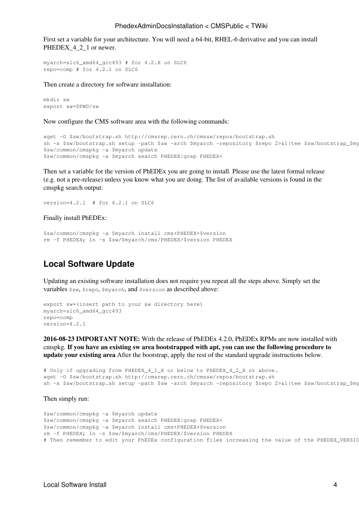#### PhedexAdminDocsInstallation < CMSPublic < TWiki

First set a variable for your architecture. You will need a 64-bit, RHEL-6 derivative and you can install PHEDEX<sub>1-2</sub>1 or newer.

```
myarch=slc6_amd64_gcc493 # for 4.2.X on SLC6
repo=comp # for 4.2.1 on SLC6
```
Then create a directory for software installation:

```
mkdir sw
export sw=$PWD/sw
```
Now configure the CMS software area with the following commands:

```
wget -O $sw/bootstrap.sh http://cmsrep.cern.ch/cmssw/repos/bootstrap.sh
sh -x $sw/bootstrap.sh setup -path $sw -arch $myarch -repository $repo 2>&1|tee $sw/bootstrap_$my
$sw/common/cmspkg -a $myarch update
$sw/common/cmspkg -a $myarch search PHEDEX|grep PHEDEX+
```
Then set a variable for the version of PhEDEx you are going to install. Please use the latest formal release (e.g. not a pre-release) unless you know what you are doing. The list of available versions is found in the cmspkg search output:

```
version=4.2.1 # for 4.2.1 on SLC6
```
Finally install PhEDEx:

```
$sw/common/cmspkg -a $myarch install cms+PHEDEX+$version
rm -f PHEDEX; ln -s $sw/$myarch/cms/PHEDEX/$version PHEDEX
```
#### <span id="page-4-0"></span>**Local Software Update**

Updating an existing software installation does not require you repeat all the steps above. Simply set the variables \$sw, \$repo, \$myarch, and \$version as described above:

```
export sw=(insert path to your sw directory here)
myarch=slc6_amd64_gcc493
repo=comp
version=4.2.1
```
**2016-08-23 IMPORTANT NOTE:** With the release of [PhEDEx](https://twiki.cern.ch/twiki/bin/view/CMSPublic/PhEDEx) 4.2.0, [PhEDEx](https://twiki.cern.ch/twiki/bin/view/CMSPublic/PhEDEx) RPMs are now installed with cmspkg. **If you have an existing sw area bootstrapped with apt, you can use the following procedure to update your existing area** After the bootstrap, apply the rest of the standard upgrade instructions below.

```
# Only if upgrading from PHEDEX_4_1_X or below to PHEDEX_4_2_X or above.
wget -O $sw/bootstrap.sh http://cmsrep.cern.ch/cmssw/repos/bootstrap.sh
sh -x $sw/bootstrap.sh setup -path $sw -arch $myarch -repository $repo 2>&1|tee $sw/bootstrap_$my
```
Then simply run:

```
$sw/common/cmspkg -a $myarch update
$sw/common/cmspkg -a $myarch search PHEDEX|grep PHEDEX+
$sw/common/cmspkg -a $myarch install cms+PHEDEX+$version
rm -f PHEDEX; ln -s $sw/$myarch/cms/PHEDEX/$version PHEDEX
# Then remember to edit your PhEDEx configuration files increasing the value of the PHEDEX_VERSIC
```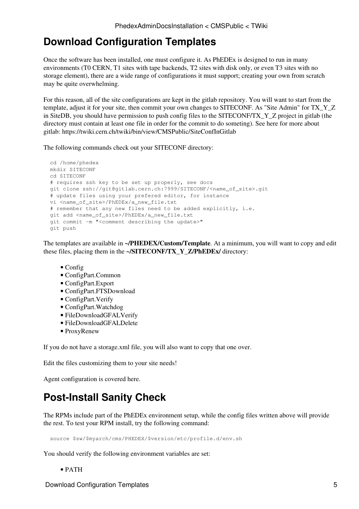### <span id="page-5-0"></span>**Download Configuration Templates**

Once the software has been installed, one must configure it. As PhEDEx is designed to run in many environments (T0 CERN, T1 sites with tape backends, T2 sites with disk only, or even T3 sites with no storage element), there are a wide range of configurations it must support; creating your own from scratch may be quite overwhelming.

For this reason, all of the site configurations are kept in the gitlab repository. You will want to start from the template, adjust it for your site, then commit your own changes to SITECONF. As "Site Admin" for TX\_Y\_Z in [SiteDB,](https://twiki.cern.ch/twiki/bin/view/CMSPublic/SiteDB) you should have permission to push config files to the SITECONF/TX\_Y\_Z project in gitlab (the directory must contain at least one file in order for the commit to do someting). See here for more about gitlab: <https://twiki.cern.ch/twiki/bin/view/CMSPublic/SiteConfInGitlab>

The following commands check out your SITECONF directory:

```
 cd /home/phedex
 mkdir SITECONF
 cd SITECONF
 # requires ssh key to be set up properly, see docs
 git clone ssh://git@gitlab.cern.ch:7999/SITECONF/<name_of_site>.git 
 # update files using your prefered editor, for instance
vi <name_of_site>/PhEDEx/a_new_file.txt
 # remember that any new files need to be added explicitly, i.e.
 git add <name_of_site>/PhEDEx/a_new_file.txt 
 git commit -m "<comment describing the update>" 
 git push
```
The templates are available in **~/PHEDEX/Custom/Template**. At a minimum, you will want to copy and edit these files, placing them in the **~/SITECONF/TX\_Y\_Z/PhEDEx/** directory:

- Config
- ConfigPart.Common
- ConfigPart.Export
- ConfigPart.FTSDownload
- ConfigPart.Verify
- ConfigPart.Watchdog
- FileDownloadGFALVerify
- FileDownloadGFALDelete
- ProxyRenew

If you do not have a storage.xml file, you will also want to copy that one over.

Edit the files customizing them to your site needs!

[Agent configuration is covered here.](https://twiki.cern.ch/twiki/bin/view/CMS/PhedexAdminDocsAgentConfiguration)

### <span id="page-5-1"></span>**Post-Install Sanity Check**

The RPMs include part of the PhEDEx environment setup, while the config files written above will provide the rest. To test your RPM install, try the following command:

source \$sw/\$myarch/cms/PHEDEX/\$version/etc/profile.d/env.sh

You should verify the following environment variables are set:

• PATH

Download Configuration Templates 5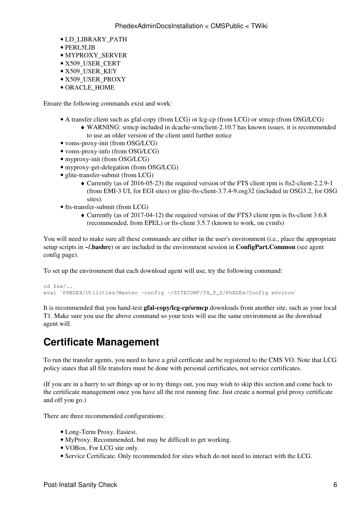- LD\_LIBRARY\_PATH
- PERL5LIB
- MYPROXY\_SERVER
- X509\_USER\_CERT
- X509\_USER\_KEY
- X509 USER PROXY
- ORACLE\_HOME

Ensure the following commands exist and work:

- A transfer client such as gfal-copy (from LCG) or lcg-cp (from LCG) or srmcp (from OSG/LCG)
	- WARNING: srmcp included in dcache-srmclient-2.10.7 has known issues, it is recommended ♦ to use an older version of the client until further notice
- voms-proxy-init (from OSG/LCG)
- voms-proxy-info (from OSG/LCG)
- myproxy-init (from OSG/LCG)
- myproxy-get-delegation (from OSG/LCG)
- glite-transfer-submit (from LCG)
	- Currently (as of 2016-05-23) the required version of the FTS client rpm is fts2-client-2.2.9-1 ♦ (from EMI-3 UI, for EGI sites) or glite-fts-client-3.7.4-9.osg32 (included in OSG3.2, for OSG sites).
- fts-transfer-submit (from LCG)
	- Currently (as of 2017-04-12) the required version of the FTS3 client rpm is fts-client 3.6.8 ♦ (recommended, from EPEL) or fts-client 3.5.7 (known to work, on cvmfs)

You will need to make sure all these commands are either in the user's environment (i.e., place the appropriate setup scripts in **~/.bashrc**) or are included in the environment session in **ConfigPart.Common** ([see agent](https://twiki.cern.ch/twiki/bin/view/CMS/PhedexAdminDocsAgentConfiguration) [config page\)](https://twiki.cern.ch/twiki/bin/view/CMS/PhedexAdminDocsAgentConfiguration).

To set up the environment that each download agent will use, try the following command:

```
cd $sw/..
eval `PHEDEX/Utilities/Master -config ~/SITECONF/TX_Y_Z/PhEDEx/Config environ`
```
It is recommended that you hand-test **gfal-copy/lcg-cp/srmcp** downloads from another site, such as your local T1. Make sure you use the above command so your tests will use the same environment as the download agent will.

### <span id="page-6-0"></span>**Certificate Management**

To run the transfer agents, you need to have a grid certficate and be registered to the CMS VO. Note that LCG policy states that all file transfers must be done with personal certificates, not service certificates.

(If you are in a hurry to set things up or to try things out, you may wish to skip this section and come back to the certificate management once you have all the rest running fine. Just create a normal grid proxy certificate and off you go.)

There are three recommended configurations:

- Long-Term Proxy. Easiest.
- MyProxy. Recommended, but may be difficult to get working.
- VOBox. For LCG site only.
- Service Certificate. Only recommended for sites which do not need to interact with the LCG.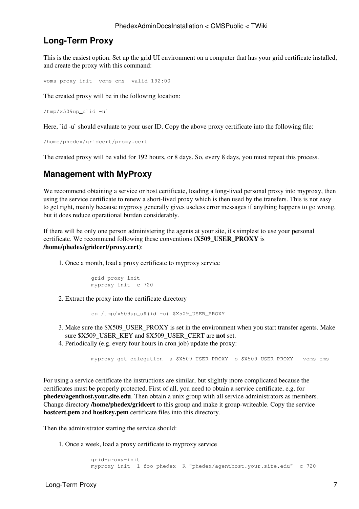#### <span id="page-7-0"></span>**Long-Term Proxy**

This is the easiest option. Set up the grid UI environment on a computer that has your grid certificate installed, and create the proxy with this command:

voms-proxy-init -voms cms -valid 192:00

The created proxy will be in the following location:

```
/tmp/x509upu`id -u`
```
Here, `id -u` should evaluate to your user ID. Copy the above proxy certificate into the following file:

```
/home/phedex/gridcert/proxy.cert
```
The created proxy will be valid for 192 hours, or 8 days. So, every 8 days, you must repeat this process.

#### <span id="page-7-1"></span>**Management with MyProxy**

We recommend obtaining a service or host certificate, loading a long-lived personal proxy into myproxy, then using the service certificate to renew a short-lived proxy which is then used by the transfers. This is not easy to get right, mainly because myproxy generally gives useless error messages if anything happens to go wrong, but it does reduce operational burden considerably.

If there will be only one person administering the agents at your site, it's simplest to use your personal certificate. We recommend following these conventions (**X509\_USER\_PROXY** is **/home/phedex/gridcert/proxy.cert**):

1. Once a month, load a proxy certificate to myproxy service

```
 grid-proxy-init
 myproxy-init -c 720
```
Extract the proxy into the certificate directory 2.

cp /tmp/x509up\_u\$(id -u) \$X509\_USER\_PROXY

- Make sure the \$X509\_USER\_PROXY is set in the environment when you start transfer agents. Make 3. sure \$X509\_USER\_KEY and \$X509\_USER\_CERT are **not** set.
- 4. Periodically (e.g. every four hours in cron job) update the proxy:

myproxy-get-delegation -a \$X509\_USER\_PROXY -o \$X509\_USER\_PROXY --voms cms

For using a service certificate the instructions are similar, but slightly more complicated because the certificates must be properly protected. First of all, you need to obtain a service certificate, e.g. for **phedex/agenthost.your.site.edu**. Then obtain a unix group with all service administrators as members. Change directory **/home/phedex/gridcert** to this group and make it group-writeable. Copy the service **hostcert.pem** and **hostkey.pem** certificate files into this directory.

Then the administrator starting the service should:

1. Once a week, load a proxy certificate to myproxy service

```
 grid-proxy-init
 myproxy-init -l foo_phedex -R "phedex/agenthost.your.site.edu" -c 720
```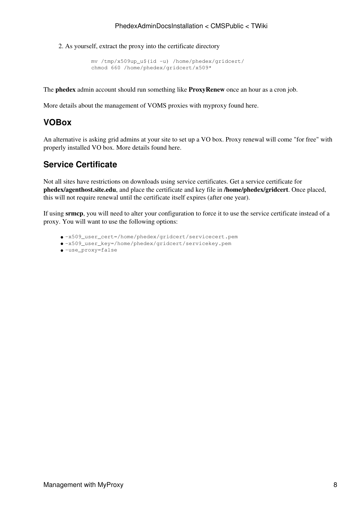As yourself, extract the proxy into the certificate directory 2.

```
 mv /tmp/x509up_u$(id -u) /home/phedex/gridcert/
 chmod 660 /home/phedex/gridcert/x509*
```
The **phedex** admin account should run something like **ProxyRenew** once an hour as a cron job.

[More details about the management of VOMS proxies with myproxy found here](https://twiki.cern.ch/twiki/bin/view/CMS/PhedexAdminDocsVomsProxies).

#### <span id="page-8-0"></span>**VOBox**

An alternative is asking grid admins at your site to set up a VO box. Proxy renewal will come "for free" with properly installed VO box. [More details found here](https://twiki.cern.ch/twiki/bin/view/CMSPublic/PhedexAdminDocsVoBox).

#### <span id="page-8-1"></span>**Service Certificate**

Not all sites have restrictions on downloads using service certificates. Get a service certificate for **phedex/agenthost.site.edu**, and place the certificate and key file in **/home/phedex/gridcert**. Once placed, this will not require renewal until the certificate itself expires (after one year).

If using **srmcp**, you will need to alter your configuration to force it to use the service certificate instead of a proxy. You will want to use the following options:

- -x509\_user\_cert=/home/phedex/gridcert/servicecert.pem
- -x509\_user\_key=/home/phedex/gridcert/servicekey.pem
- -use\_proxy=false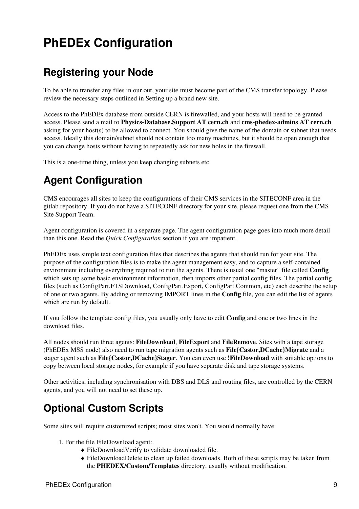# <span id="page-9-0"></span>**PhEDEx Configuration**

### <span id="page-9-1"></span>**Registering your Node**

To be able to transfer any files in our out, your site must become part of the CMS transfer topology. Please review the necessary steps outlined in [Setting up a brand new site.](https://twiki.cern.ch/twiki/bin/view/CMSPublic/AddCmsSite)

Access to the [PhEDEx](https://twiki.cern.ch/twiki/bin/view/CMSPublic/PhEDEx) database from outside CERN is firewalled, and your hosts will need to be granted access. Please send a mail to **Physics-Database.Support AT cern.ch** and **cms-phedex-admins AT cern.ch** asking for your host(s) to be allowed to connect. You should give the name of the domain or subnet that needs access. Ideally this domain/subnet should not contain too many machines, but it should be open enough that you can change hosts without having to repeatedly ask for new holes in the firewall.

This is a one-time thing, unless you keep changing subnets etc.

## <span id="page-9-2"></span>**Agent Configuration**

CMS encourages all sites to keep the configurations of their CMS services in the SITECONF area in the gitlab repository. If you do not have a SITECONF directory for your site, please request one from the CMS Site Support Team.

[Agent configuration is covered in a separate page.](https://twiki.cern.ch/twiki/bin/view/CMS/PhedexAdminDocsAgentConfiguration) The agent configuration page goes into much more detail than this one. Read the *Quick Configuration* section if you are impatient.

PhEDEx uses simple text configuration files that describes the agents that should run for your site. The purpose of the configuration files is to make the agent management easy, and to capture a self-contained environment including everything required to run the agents. There is usual one "master" file called **Config** which sets up some basic environment information, then imports other partial config files. The partial config files (such as ConfigPart.FTSDownload, ConfigPart.Export, ConfigPart.Common, etc) each describe the setup of one or two agents. By adding or removing IMPORT lines in the **Config** file, you can edit the list of agents which are run by default.

If you follow the template config files, you usually only have to edit **Config** and one or two lines in the download files.

All nodes should run three agents: **FileDownload**, **FileExport** and **FileRemove**. Sites with a tape storage (PhEDEx MSS node) also need to run tape migration agents such as **File{Castor,DCache}Migrate** and a stager agent such as **File{Castor,DCache}Stager**. You can even use **!FileDownload** with suitable options to copy between local storage nodes, for example if you have separate disk and tape storage systems.

Other activities, including synchronisation with DBS and DLS and routing files, are controlled by the CERN agents, and you will not need to set these up.

### <span id="page-9-3"></span>**Optional Custom Scripts**

Some sites will require customized scripts; most sites won't. You would normally have:

- 1. For the file FileDownload agent:.
	- ♦ FileDownloadVerify to validate downloaded file.
	- FileDownloadDelete to clean up failed downloads. Both of these scripts may be taken from ♦ the **PHEDEX/Custom/Templates** directory, usually without modification.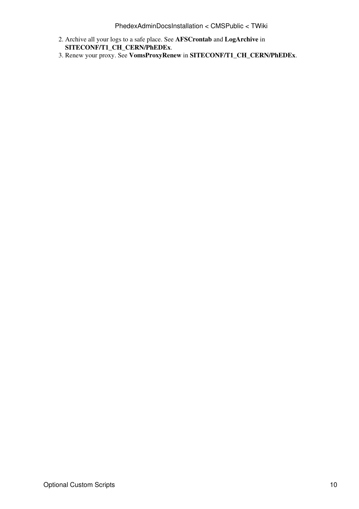- Archive all your logs to a safe place. See **AFSCrontab** and **LogArchive** in 2. **SITECONF/T1\_CH\_CERN/PhEDEx**.
- 3. Renew your proxy. See **VomsProxyRenew** in **SITECONF/T1\_CH\_CERN/PhEDEx**.